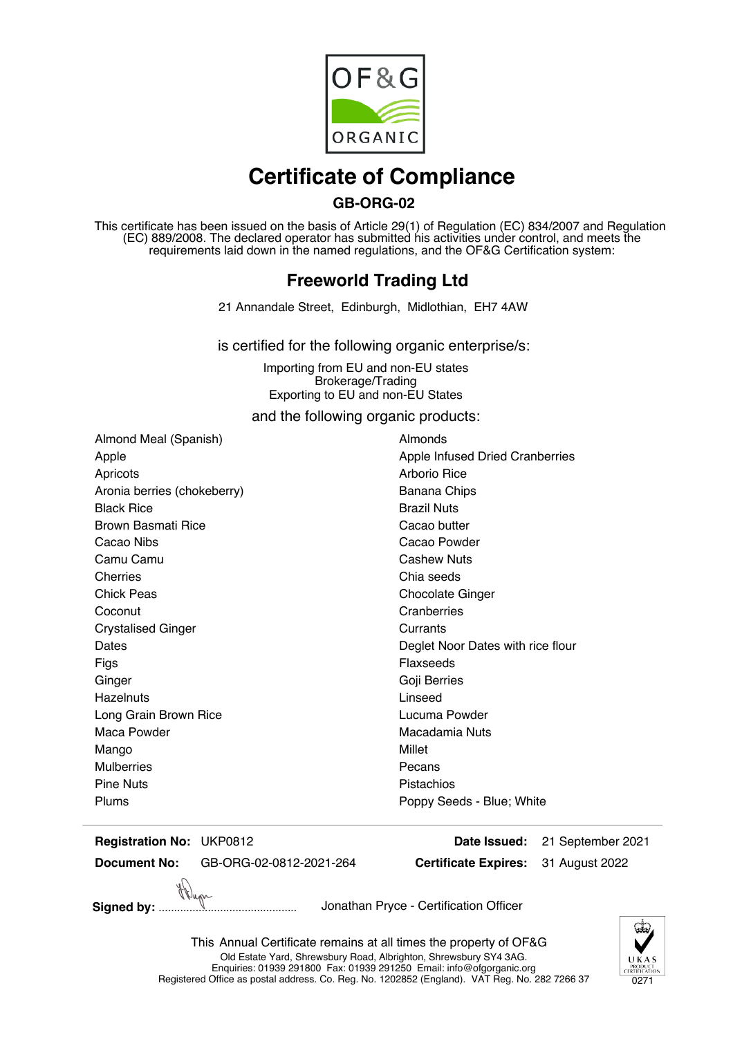

## **Certificate of Compliance**

## **GB-ORG-02**

This certificate has been issued on the basis of Article 29(1) of Regulation (EC) 834/2007 and Regulation (EC) 889/2008. The declared operator has submitted his activities under control, and meets the requirements laid down in the named regulations, and the OF&G Certification system:

## **Freeworld Trading Ltd**

21 Annandale Street, Edinburgh, Midlothian, EH7 4AW

is certified for the following organic enterprise/s:

Importing from EU and non-EU states Brokerage/Trading Exporting to EU and non-EU States

and the following organic products:

Almond Meal (Spanish) Almonds Apricots **And Arborio Rice Arborio Rice Arborio Rice** Aronia berries (chokeberry) Banana Chips Black Rice **Brazil Nuts** Brown Basmati Rice **Cacao** butter Cacao Nibs Cacao Powder Camu Camu **Camu** Cashew Nuts Cherries Cherries Chia seeds Chick Peas Chick Peas Chocolate Ginger Coconut Coconut Cranberries Crystalised Ginger Currants Figs Flaxseeds Ginger Ginger Goji Berries Hazelnuts **Linseed** Long Grain Brown Rice **Lucuma Powder** Lucuma Powder Maca Powder **Macadamia Nuts** Macadamia Nuts Mango **Mango** Millet Mulberries **Pecans** Pine Nuts **Pine Nuts Pistachios** 

Apple **Apple Infused Dried Cranberries** Dates **Dates Deglet Noor Dates with rice flour** Plums **Propy Seeds** - Blue; White

**Registration No:**

**Document No:** GB-ORG-02-0812-2021-264

**Certificate Expires: Date Issued:** UKP0812 21 September 2021 31 August 2022

**Signed by:** ............................................. Jonathan Pryce - Certification Officer



This Annual Certificate remains at all times the property of OF&G Old Estate Yard, Shrewsbury Road, Albrighton, Shrewsbury SY4 3AG. Enquiries: 01939 291800 Fax: 01939 291250 Email: info@ofgorganic.org Registered Office as postal address. Co. Reg. No. 1202852 (England). VAT Reg. No. 282 7266 37 0271